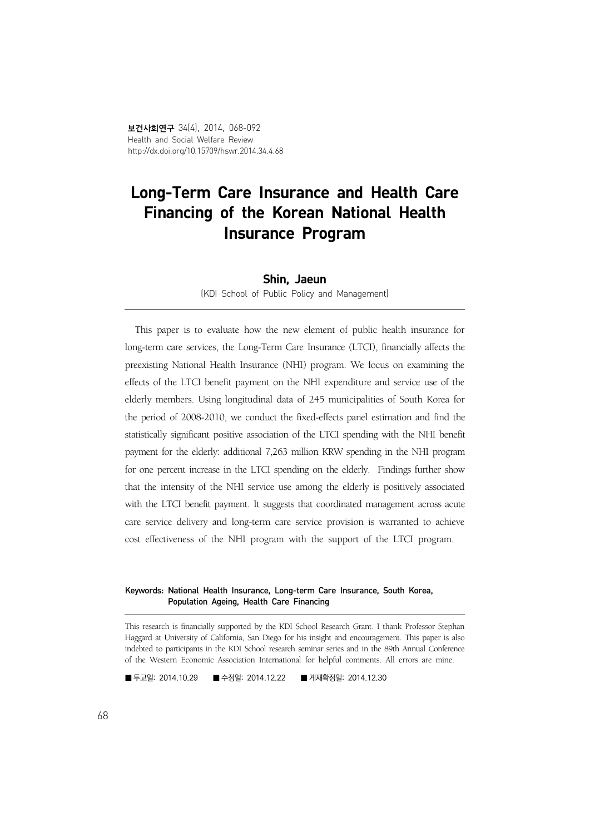# Long-Term Care Insurance and Health Care Financing of the Korean National Health Insurance Program

#### Shin, Jaeun

(KDI School of Public Policy and Management)

This paper is to evaluate how the new element of public health insurance for long-term care services, the Long-Term Care Insurance (LTCI), financially affects the preexisting National Health Insurance (NHI) program. We focus on examining the effects of the LTCI benefit payment on the NHI expenditure and service use of the elderly members. Using longitudinal data of 245 municipalities of South Korea for the period of 2008-2010, we conduct the fixed-effects panel estimation and find the statistically significant positive association of the LTCI spending with the NHI benefit payment for the elderly: additional 7,263 million KRW spending in the NHI program for one percent increase in the LTCI spending on the elderly. Findings further show that the intensity of the NHI service use among the elderly is positively associated with the LTCI benefit payment. It suggests that coordinated management across acute care service delivery and long-term care service provision is warranted to achieve cost effectiveness of the NHI program with the support of the LTCI program.

#### Keywords: National Health Insurance, Long-term Care Insurance, South Korea, Population Ageing, Health Care Financing

This research is financially supported by the KDI School Research Grant. I thank Professor Stephan Haggard at University of California, San Diego for his insight and encouragement. This paper is also indebted to participants in the KDI School research seminar series and in the 89th Annual Conference of the Western Economic Association International for helpful comments. All errors are mine.

■ 투고일: 2014.10.29 ■ 수정일: 2014.12.22 ■ 게재확정일: 2014.12.30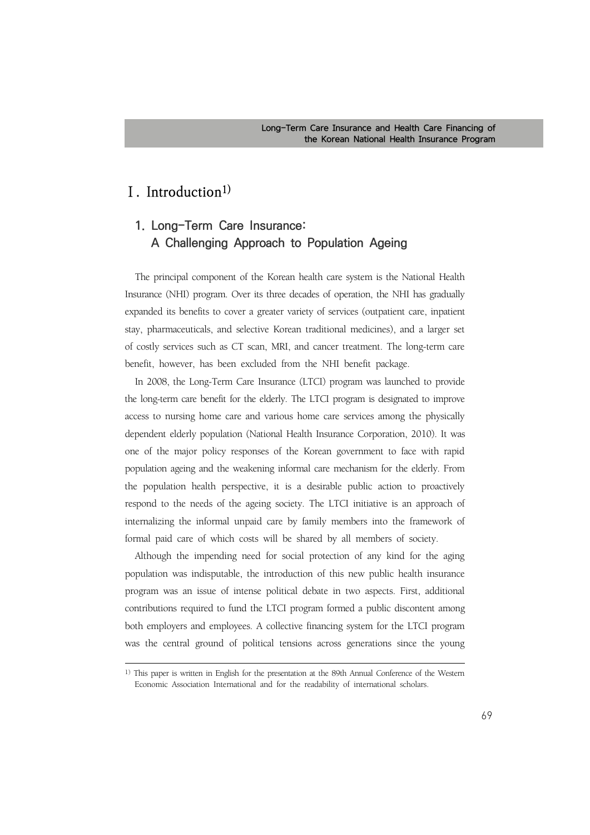## **Ⅰ. Introduction1)**

# **1. Long-Term Care Insurance: A Challenging Approach to Population Ageing**

The principal component of the Korean health care system is the National Health Insurance (NHI) program. Over its three decades of operation, the NHI has gradually expanded its benefits to cover a greater variety of services (outpatient care, inpatient stay, pharmaceuticals, and selective Korean traditional medicines), and a larger set of costly services such as CT scan, MRI, and cancer treatment. The long-term care benefit, however, has been excluded from the NHI benefit package.

In 2008, the Long-Term Care Insurance (LTCI) program was launched to provide the long-term care benefit for the elderly. The LTCI program is designated to improve access to nursing home care and various home care services among the physically dependent elderly population (National Health Insurance Corporation, 2010). It was one of the major policy responses of the Korean government to face with rapid population ageing and the weakening informal care mechanism for the elderly. From the population health perspective, it is a desirable public action to proactively respond to the needs of the ageing society. The LTCI initiative is an approach of internalizing the informal unpaid care by family members into the framework of formal paid care of which costs will be shared by all members of society.

Although the impending need for social protection of any kind for the aging population was indisputable, the introduction of this new public health insurance program was an issue of intense political debate in two aspects. First, additional contributions required to fund the LTCI program formed a public discontent among both employers and employees. A collective financing system for the LTCI program was the central ground of political tensions across generations since the young

<sup>1)</sup> This paper is written in English for the presentation at the 89th Annual Conference of the Western Economic Association International and for the readability of international scholars.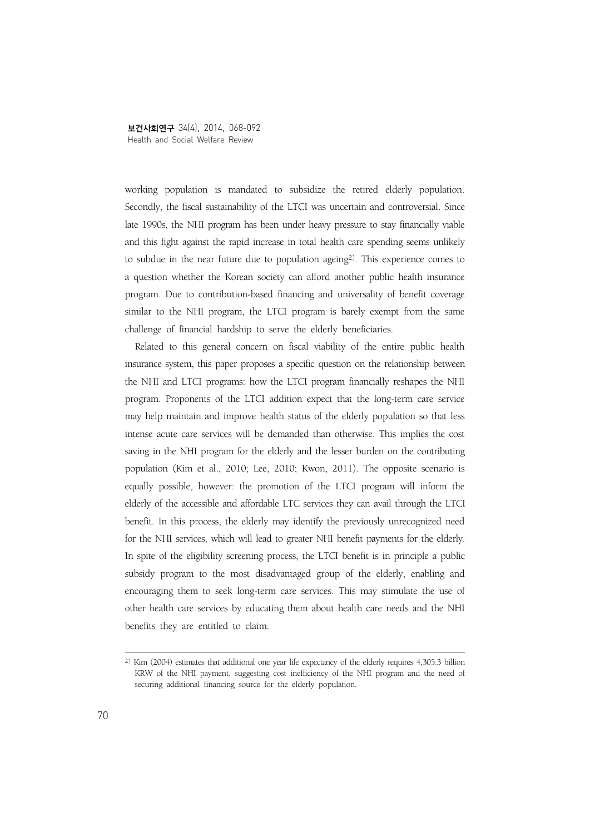working population is mandated to subsidize the retired elderly population. Secondly, the fiscal sustainability of the LTCI was uncertain and controversial. Since late 1990s, the NHI program has been under heavy pressure to stay financially viable and this fight against the rapid increase in total health care spending seems unlikely to subdue in the near future due to population ageing2). This experience comes to a question whether the Korean society can afford another public health insurance program. Due to contribution-based financing and universality of benefit coverage similar to the NHI program, the LTCI program is barely exempt from the same challenge of financial hardship to serve the elderly beneficiaries.

Related to this general concern on fiscal viability of the entire public health insurance system, this paper proposes a specific question on the relationship between the NHI and LTCI programs: how the LTCI program financially reshapes the NHI program. Proponents of the LTCI addition expect that the long-term care service may help maintain and improve health status of the elderly population so that less intense acute care services will be demanded than otherwise. This implies the cost saving in the NHI program for the elderly and the lesser burden on the contributing population (Kim et al., 2010; Lee, 2010; Kwon, 2011). The opposite scenario is equally possible, however: the promotion of the LTCI program will inform the elderly of the accessible and affordable LTC services they can avail through the LTCI benefit. In this process, the elderly may identify the previously unrecognized need for the NHI services, which will lead to greater NHI benefit payments for the elderly. In spite of the eligibility screening process, the LTCI benefit is in principle a public subsidy program to the most disadvantaged group of the elderly, enabling and encouraging them to seek long-term care services. This may stimulate the use of other health care services by educating them about health care needs and the NHI benefits they are entitled to claim.

<sup>2)</sup> Kim (2004) estimates that additional one year life expectancy of the elderly requires 4,305.3 billion KRW of the NHI payment, suggesting cost inefficiency of the NHI program and the need of securing additional financing source for the elderly population.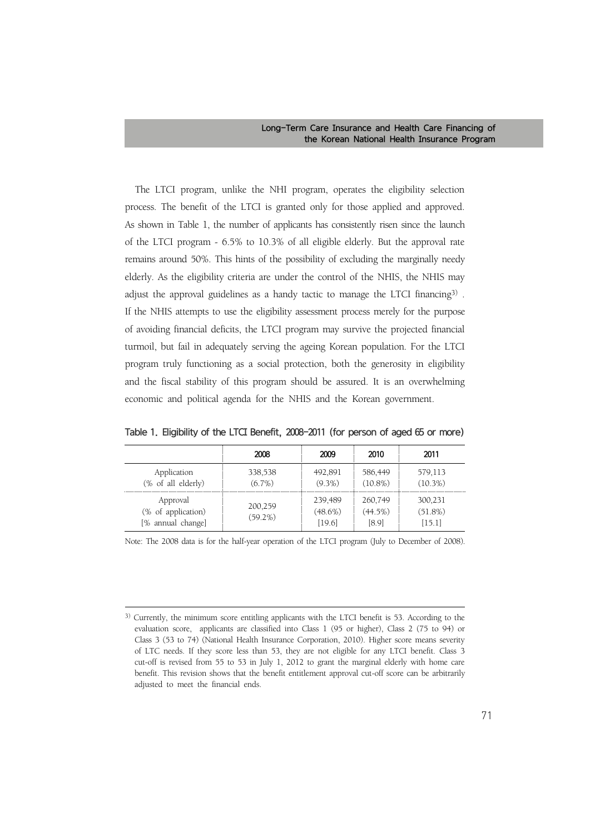The LTCI program, unlike the NHI program, operates the eligibility selection process. The benefit of the LTCI is granted only for those applied and approved. As shown in Table 1, the number of applicants has consistently risen since the launch of the LTCI program - 6.5% to 10.3% of all eligible elderly. But the approval rate remains around 50%. This hints of the possibility of excluding the marginally needy elderly. As the eligibility criteria are under the control of the NHIS, the NHIS may adjust the approval guidelines as a handy tactic to manage the LTCI financing3) . If the NHIS attempts to use the eligibility assessment process merely for the purpose of avoiding financial deficits, the LTCI program may survive the projected financial turmoil, but fail in adequately serving the ageing Korean population. For the LTCI program truly functioning as a social protection, both the generosity in eligibility and the fiscal stability of this program should be assured. It is an overwhelming economic and political agenda for the NHIS and the Korean government.

|                                                     | 2008                  | 2009                            | 2010                           | 2011                              |
|-----------------------------------------------------|-----------------------|---------------------------------|--------------------------------|-----------------------------------|
| Application<br>(% of all elderly)                   | 338,538<br>$(6.7\%)$  | 492,891<br>$(9.3\%)$            | 586,449<br>$(10.8\%)$          | 579,113<br>$(10.3\%)$             |
| Approval<br>(% of application)<br>[% annual change] | 200,259<br>$(59.2\%)$ | 239,489<br>$(48.6\%)$<br>[19.6] | 260,749<br>$(44.5\%)$<br>[8.9] | 300,231<br>$(51.8\%)$<br>$[15.1]$ |

Table 1. Eligibility of the LTCI Benefit, 2008-2011 (for person of aged 65 or more)

Note: The 2008 data is for the half-year operation of the LTCI program (July to December of 2008).

<sup>3)</sup> Currently, the minimum score entitling applicants with the LTCI benefit is 53. According to the evaluation score, applicants are classified into Class 1 (95 or higher), Class 2 (75 to 94) or Class 3 (53 to 74) (National Health Insurance Corporation, 2010). Higher score means severity of LTC needs. If they score less than 53, they are not eligible for any LTCI benefit. Class 3 cut-off is revised from 55 to 53 in July 1, 2012 to grant the marginal elderly with home care benefit. This revision shows that the benefit entitlement approval cut-off score can be arbitrarily adjusted to meet the financial ends.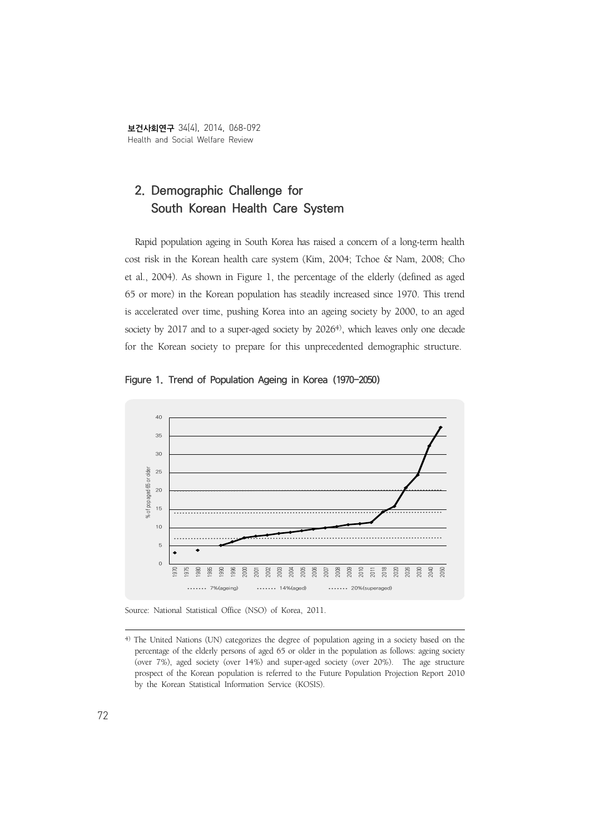보건사회연구 34(4), 2014, 068-092 Health and Social Welfare Review

# **2. Demographic Challenge for South Korean Health Care System**

Rapid population ageing in South Korea has raised a concern of a long-term health cost risk in the Korean health care system (Kim, 2004; Tchoe & Nam, 2008; Cho et al., 2004). As shown in Figure 1, the percentage of the elderly (defined as aged 65 or more) in the Korean population has steadily increased since 1970. This trend is accelerated over time, pushing Korea into an ageing society by 2000, to an aged society by 2017 and to a super-aged society by 2026<sup>4)</sup>, which leaves only one decade for the Korean society to prepare for this unprecedented demographic structure.



Figure 1. Trend of Population Ageing in Korea (1970-2050)

Source: National Statistical Office (NSO) of Korea, 2011.

<sup>4)</sup> The United Nations (UN) categorizes the degree of population ageing in a society based on the percentage of the elderly persons of aged 65 or older in the population as follows: ageing society (over 7%), aged society (over 14%) and super-aged society (over 20%). The age structure prospect of the Korean population is referred to the Future Population Projection Report 2010 by the Korean Statistical Information Service (KOSIS).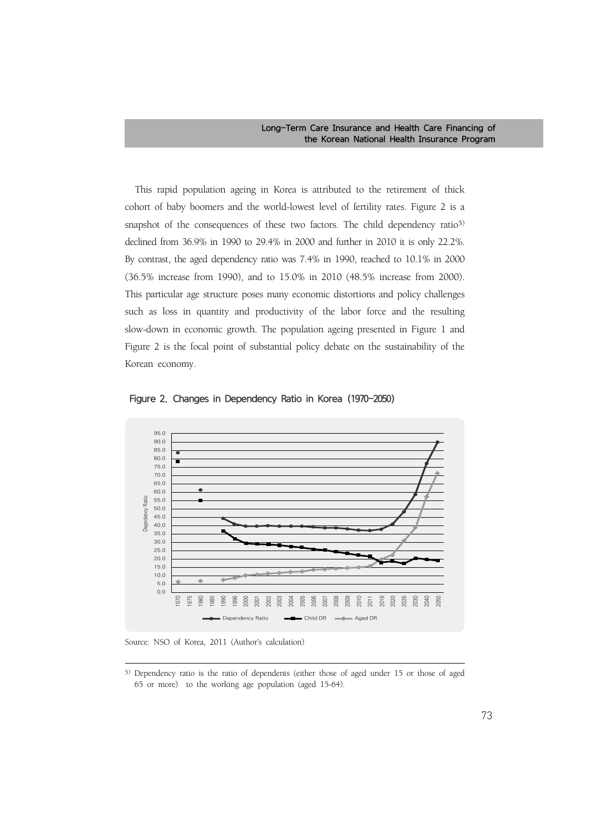This rapid population ageing in Korea is attributed to the retirement of thick cohort of baby boomers and the world-lowest level of fertility rates. Figure 2 is a snapshot of the consequences of these two factors. The child dependency ratio<sup>5)</sup> declined from 36.9% in 1990 to 29.4% in 2000 and further in 2010 it is only 22.2%. By contrast, the aged dependency ratio was 7.4% in 1990, reached to 10.1% in 2000 (36.5% increase from 1990), and to 15.0% in 2010 (48.5% increase from 2000). This particular age structure poses many economic distortions and policy challenges such as loss in quantity and productivity of the labor force and the resulting slow-down in economic growth. The population ageing presented in Figure 1 and Figure 2 is the focal point of substantial policy debate on the sustainability of the Korean economy.



Figure 2. Changes in Dependency Ratio in Korea (1970-2050)

Source: NSO of Korea, 2011 (Author's calculation)

<sup>5)</sup> Dependency ratio is the ratio of dependents (either those of aged under 15 or those of aged 65 or more) to the working age population (aged 15-64).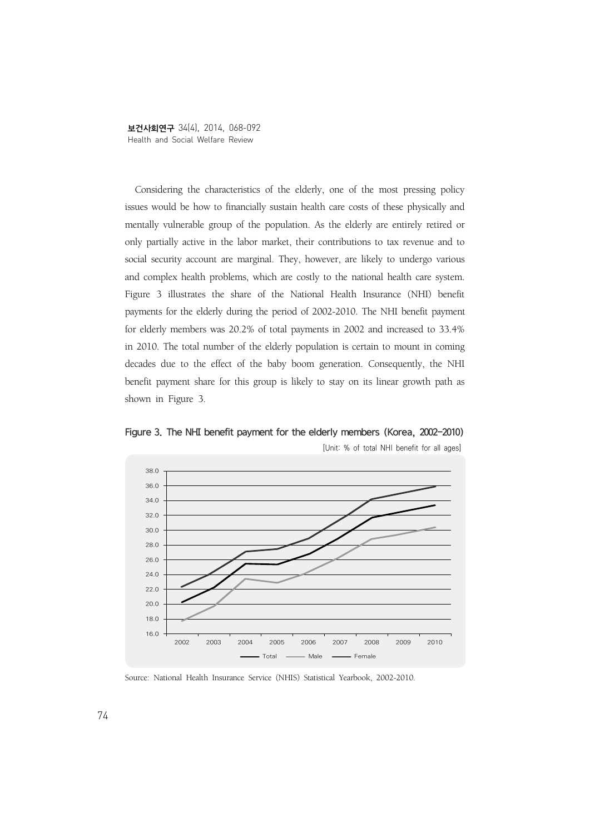보건사회연구 34(4), 2014, 068-092 Health and Social Welfare Review

Considering the characteristics of the elderly, one of the most pressing policy issues would be how to financially sustain health care costs of these physically and mentally vulnerable group of the population. As the elderly are entirely retired or only partially active in the labor market, their contributions to tax revenue and to social security account are marginal. They, however, are likely to undergo various and complex health problems, which are costly to the national health care system. Figure 3 illustrates the share of the National Health Insurance (NHI) benefit payments for the elderly during the period of 2002-2010. The NHI benefit payment for elderly members was 20.2% of total payments in 2002 and increased to 33.4% in 2010. The total number of the elderly population is certain to mount in coming decades due to the effect of the baby boom generation. Consequently, the NHI benefit payment share for this group is likely to stay on its linear growth path as shown in Figure 3.



Figure 3. The NHI benefit payment for the elderly members (Korea, 2002-2010) [Unit: % of total NHI benefit for all ages]

Source: National Health Insurance Service (NHIS) Statistical Yearbook, 2002-2010.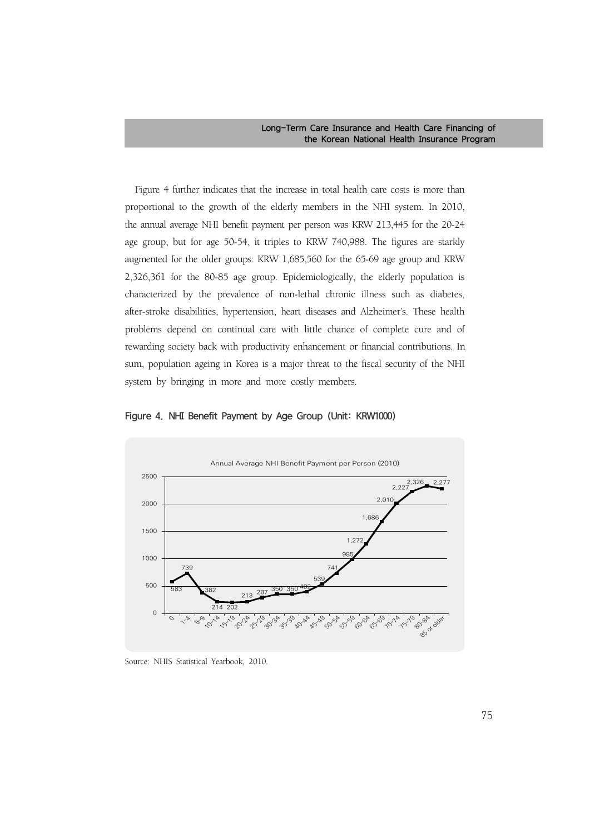Figure 4 further indicates that the increase in total health care costs is more than proportional to the growth of the elderly members in the NHI system. In 2010, the annual average NHI benefit payment per person was KRW 213,445 for the 20-24 age group, but for age 50-54, it triples to KRW 740,988. The figures are starkly augmented for the older groups: KRW 1,685,560 for the 65-69 age group and KRW 2,326,361 for the 80-85 age group. Epidemiologically, the elderly population is characterized by the prevalence of non-lethal chronic illness such as diabetes, after-stroke disabilities, hypertension, heart diseases and Alzheimer's. These health problems depend on continual care with little chance of complete cure and of rewarding society back with productivity enhancement or financial contributions. In sum, population ageing in Korea is a major threat to the fiscal security of the NHI system by bringing in more and more costly members.





Source: NHIS Statistical Yearbook, 2010.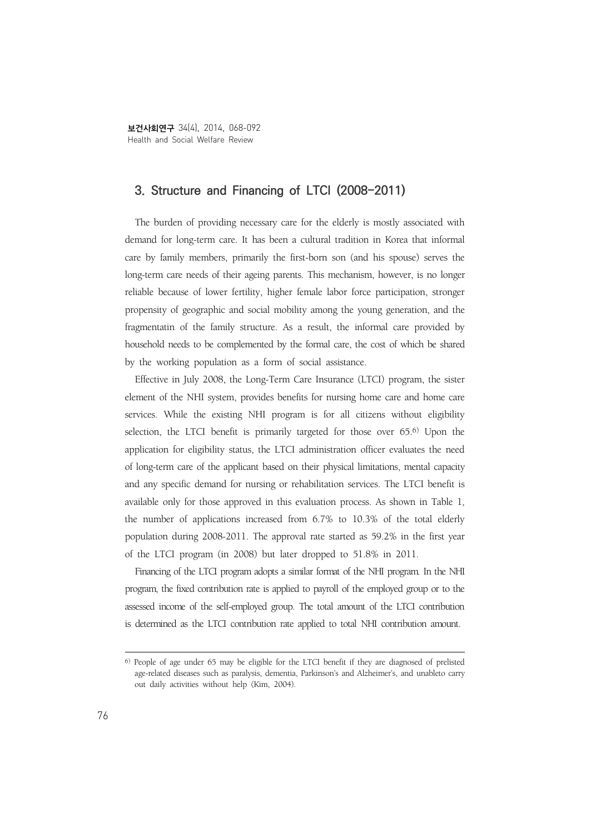보건사회연구 34(4), 2014, 068-092 Health and Social Welfare Review

## **3. Structure and Financing of LTCI (2008-2011)**

The burden of providing necessary care for the elderly is mostly associated with demand for long-term care. It has been a cultural tradition in Korea that informal care by family members, primarily the first-born son (and his spouse) serves the long-term care needs of their ageing parents. This mechanism, however, is no longer reliable because of lower fertility, higher female labor force participation, stronger propensity of geographic and social mobility among the young generation, and the fragmentatin of the family structure. As a result, the informal care provided by household needs to be complemented by the formal care, the cost of which be shared by the working population as a form of social assistance.

Effective in July 2008, the Long-Term Care Insurance (LTCI) program, the sister element of the NHI system, provides benefits for nursing home care and home care services. While the existing NHI program is for all citizens without eligibility selection, the LTCI benefit is primarily targeted for those over 65.6) Upon the application for eligibility status, the LTCI administration officer evaluates the need of long-term care of the applicant based on their physical limitations, mental capacity and any specific demand for nursing or rehabilitation services. The LTCI benefit is available only for those approved in this evaluation process. As shown in Table 1, the number of applications increased from 6.7% to 10.3% of the total elderly population during 2008-2011. The approval rate started as 59.2% in the first year of the LTCI program (in 2008) but later dropped to 51.8% in 2011.

Financing of the LTCI program adopts a similar format of the NHI program. In the NHI program, the fixed contribution rate is applied to payroll of the employed group or to the assessed income of the self-employed group. The total amount of the LTCI contribution is determined as the LTCI contribution rate applied to total NHI contribution amount.

<sup>6)</sup> People of age under 65 may be eligible for the LTCI benefit if they are diagnosed of prelisted age-related diseases such as paralysis, dementia, Parkinson's and Alzheimer's, and unableto carry out daily activities without help (Kim, 2004).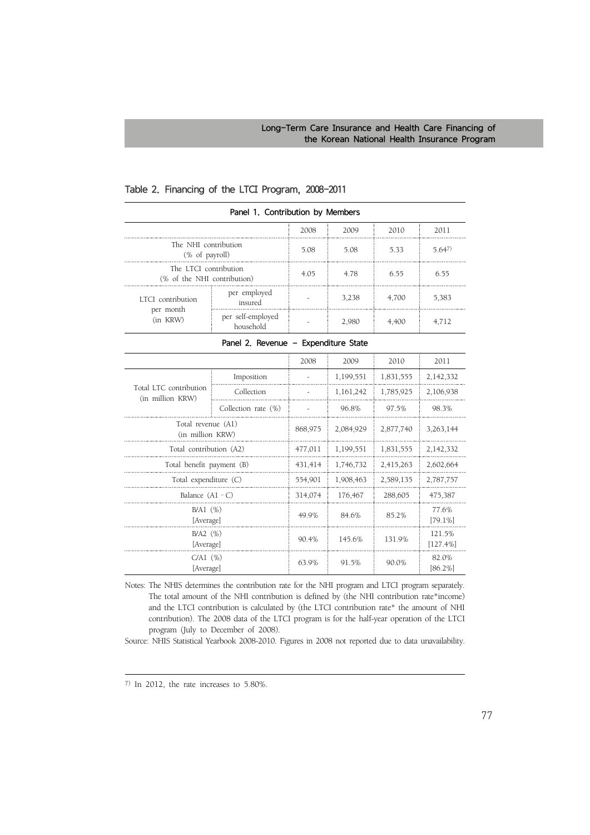|                                                      |                                      | 2008    | 2009      | 2010                  | 2011                |
|------------------------------------------------------|--------------------------------------|---------|-----------|-----------------------|---------------------|
| The NHI contribution<br>(% of payroll)               | 5.08                                 | 5.08    | 5.33      | 5.647                 |                     |
| The LTCI contribution<br>(% of the NHI contribution) |                                      | 4.05    | 4.78      | 6.55                  | 6.55                |
| LTCI contribution                                    | per employed<br>insured              |         | 3,238     | 4,700                 | 5,383               |
| per month<br>(in KRW)                                | per self-employed<br>household       |         | 2,980     | 4,400                 | 4,712               |
|                                                      | Panel 2. Revenue - Expenditure State |         |           |                       |                     |
|                                                      |                                      | 2008    | 2009      | 2010                  | 2011                |
|                                                      | Imposition                           |         | 1,199,551 | 1,831,555             | 2,142,332           |
| Total LTC contribution<br>(in million KRW)           | Collection                           |         | 1,161,242 | 1,785,925             | 2,106,938           |
|                                                      | Collection rate (%)                  |         | 96.8%     | 97.5%                 | 98.3%               |
| Total revenue (A1)<br>(in million KRW)               |                                      | 868,975 | 2,084,929 | 2,877,740             | 3,263,144           |
| Total contribution (A2)                              |                                      | 477,011 | 1,199,551 | 1,831,555             | 2,142,332           |
| Total benefit payment (B)                            |                                      | 431,414 | 1,746,732 | 2,415,263             | 2,602,664           |
| Total expenditure (C)                                |                                      | 554,901 | 1,908,463 | 2,589,135             | 2,787,757           |
| Balance $(A1 - C)$                                   |                                      | 314,074 | 176,467   | 288,605               | 475,387             |
| $B/A1$ $(\%)$<br>[Average]                           | 49.9%                                | 84.6%   | 85.2%     | 77.6%<br>$[79.1\%]$   |                     |
| $B/A2$ (%)<br>[Average]                              | 90.4%                                | 145.6%  | 131.9%    | 121.5%<br>$[127.4\%]$ |                     |
| $C/A1$ $(\%)$<br>[Average]                           |                                      | 63.9%   | 91.5%     | 90.0%                 | 82.0%<br>$[86.2\%]$ |

Panel 1. Contribution by Members

#### Table 2. Financing of the LTCI Program, 2008-2011

Notes: The NHIS determines the contribution rate for the NHI program and LTCI program separately. The total amount of the NHI contribution is defined by (the NHI contribution rate\*income) and the LTCI contribution is calculated by (the LTCI contribution rate\* the amount of NHI contribution). The 2008 data of the LTCI program is for the half-year operation of the LTCI program (July to December of 2008).

Source: NHIS Statistical Yearbook 2008-2010. Figures in 2008 not reported due to data unavailability.

<sup>7)</sup> In 2012, the rate increases to 5.80%.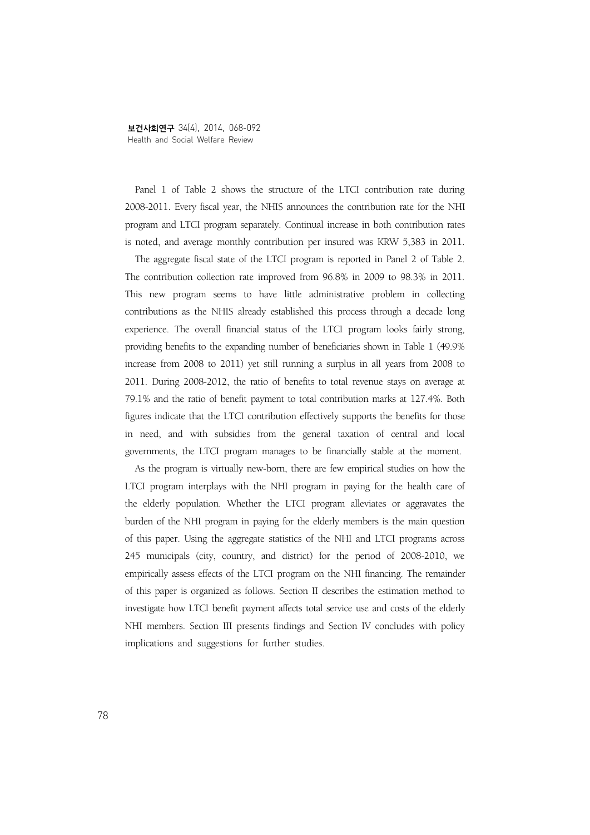Panel 1 of Table 2 shows the structure of the LTCI contribution rate during 2008-2011. Every fiscal year, the NHIS announces the contribution rate for the NHI program and LTCI program separately. Continual increase in both contribution rates is noted, and average monthly contribution per insured was KRW 5,383 in 2011.

The aggregate fiscal state of the LTCI program is reported in Panel 2 of Table 2. The contribution collection rate improved from 96.8% in 2009 to 98.3% in 2011. This new program seems to have little administrative problem in collecting contributions as the NHIS already established this process through a decade long experience. The overall financial status of the LTCI program looks fairly strong, providing benefits to the expanding number of beneficiaries shown in Table 1 (49.9% increase from 2008 to 2011) yet still running a surplus in all years from 2008 to 2011. During 2008-2012, the ratio of benefits to total revenue stays on average at 79.1% and the ratio of benefit payment to total contribution marks at 127.4%. Both figures indicate that the LTCI contribution effectively supports the benefits for those in need, and with subsidies from the general taxation of central and local governments, the LTCI program manages to be financially stable at the moment.

As the program is virtually new-born, there are few empirical studies on how the LTCI program interplays with the NHI program in paying for the health care of the elderly population. Whether the LTCI program alleviates or aggravates the burden of the NHI program in paying for the elderly members is the main question of this paper. Using the aggregate statistics of the NHI and LTCI programs across 245 municipals (city, country, and district) for the period of 2008-2010, we empirically assess effects of the LTCI program on the NHI financing. The remainder of this paper is organized as follows. Section II describes the estimation method to investigate how LTCI benefit payment affects total service use and costs of the elderly NHI members. Section III presents findings and Section IV concludes with policy implications and suggestions for further studies.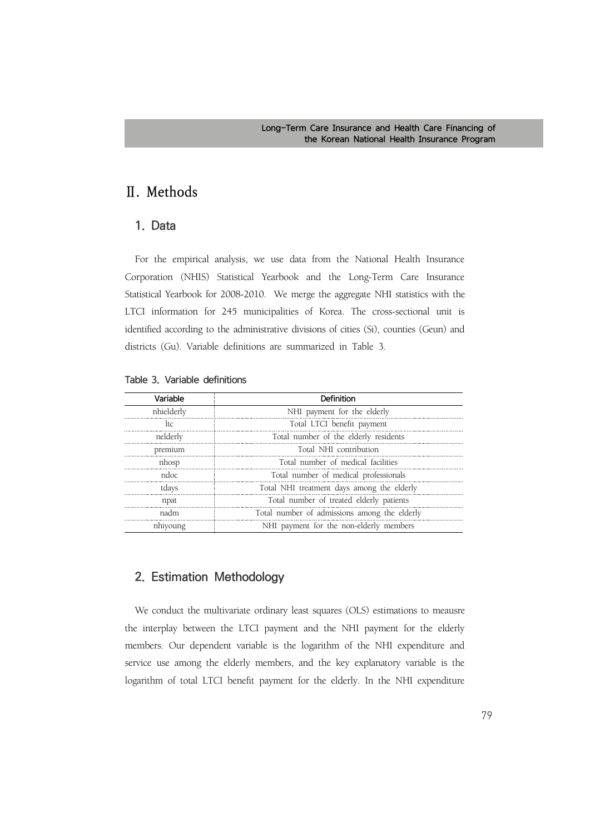# **Ⅱ. Methods**

## **1. Data**

For the empirical analysis, we use data from the National Health Insurance Corporation (NHIS) Statistical Yearbook and the Long-Term Care Insurance Statistical Yearbook for 2008-2010. We merge the aggregate NHI statistics with the LTCI information for 245 municipalities of Korea. The cross-sectional unit is identified according to the administrative divisions of cities (Si), counties (Geun) and districts (Gu). Variable definitions are summarized in Table 3.

| Variable   | Definition                                   |
|------------|----------------------------------------------|
| nhielderly | NHI payment for the elderly                  |
| ltc.       | Total LTCI benefit payment                   |
| nelderly   | Total number of the elderly residents        |
| premium    | Total NHI contribution                       |
| nhosp      | Total number of medical facilities           |
| ndoc.      | Total number of medical professionals        |
| tdays      | Total NHI treatment days among the elderly   |
| npat       | Total number of treated elderly patients     |
| nadm       | Total number of admissions among the elderly |
| nhiyoung   | NHI payment for the non-elderly members      |

|  |  | Table 3. Variable definitions |
|--|--|-------------------------------|
|--|--|-------------------------------|

## **2. Estimation Methodology**

We conduct the multivariate ordinary least squares (OLS) estimations to meausre the interplay between the LTCI payment and the NHI payment for the elderly members. Our dependent variable is the logarithm of the NHI expenditure and service use among the elderly members, and the key explanatory variable is the logarithm of total LTCI benefit payment for the elderly. In the NHI expenditure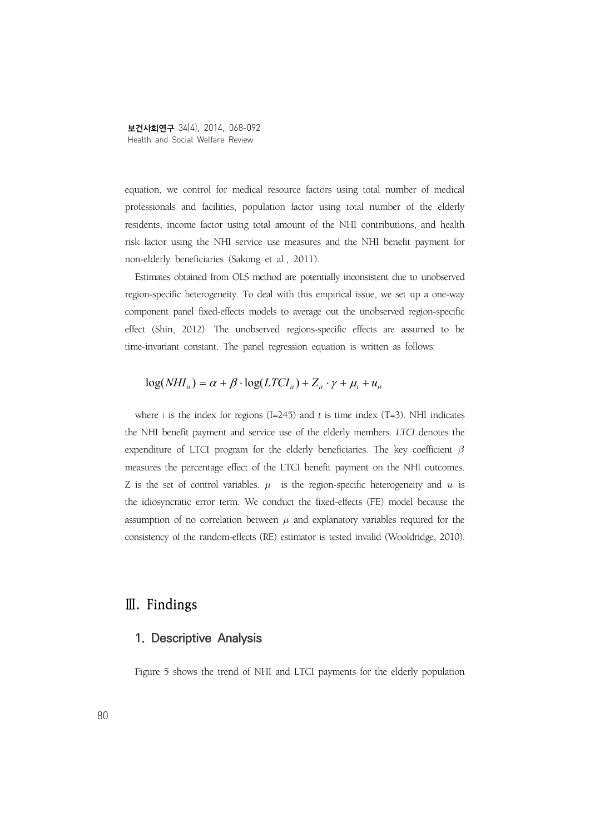equation, we control for medical resource factors using total number of medical professionals and facilities, population factor using total number of the elderly residents, income factor using total amount of the NHI contributions, and health risk factor using the NHI service use measures and the NHI benefit payment for non-elderly beneficiaries (Sakong et al., 2011).

Estimates obtained from OLS method are potentially inconsistent due to unobserved region-specific heterogeneity. To deal with this empirical issue, we set up a one-way component panel fixed-effects models to average out the unobserved region-specific effect (Shin, 2012). The unobserved regions-specific effects are assumed to be time-invariant constant. The panel regression equation is written as follows:

## $log(NHI_{ii}) = \alpha + \beta \cdot log(LTCI_{ii}) + Z_{ii} \cdot \gamma + \mu_i + u_{ii}$

where *i* is the index for regions (I=245) and *t* is time index (T=3). NHI indicates the NHI benefit payment and service use of the elderly members. *LTCI* denotes the expenditure of LTCI program for the elderly beneficiaries. The key coefficient  $\beta$ measures the percentage effect of the LTCI benefit payment on the NHI outcomes. Z is the set of control variables.  $\mu$  is the region-specific heterogeneity and  $u$  is the idiosyncratic error term. We conduct the fixed-effects (FE) model because the assumption of no correlation between  $\mu$  and explanatory variables required for the consistency of the random-effects (RE) estimator is tested invalid (Wooldridge, 2010).

## **Ⅲ. Findings**

### **1. Descriptive Analysis**

Figure 5 shows the trend of NHI and LTCI payments for the elderly population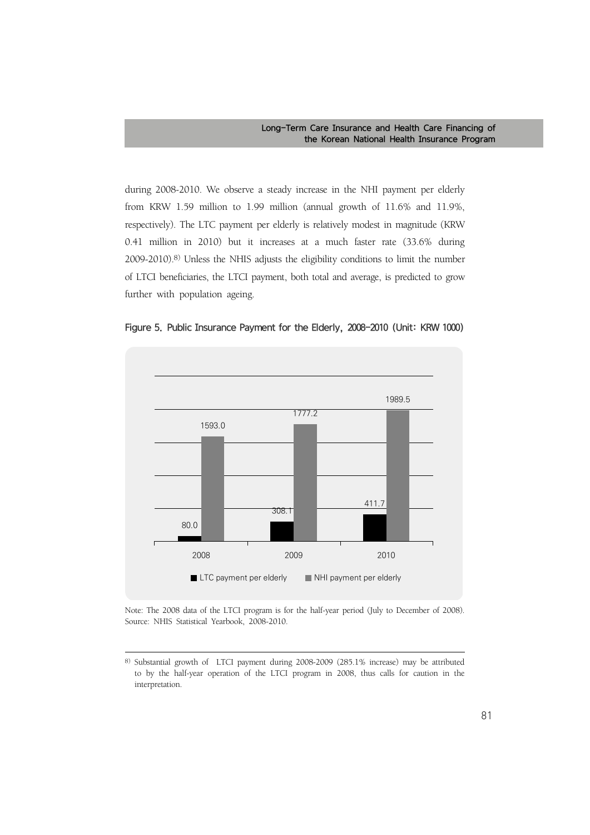during 2008-2010. We observe a steady increase in the NHI payment per elderly from KRW 1.59 million to 1.99 million (annual growth of 11.6% and 11.9%, respectively). The LTC payment per elderly is relatively modest in magnitude (KRW 0.41 million in 2010) but it increases at a much faster rate (33.6% during 2009-2010).8) Unless the NHIS adjusts the eligibility conditions to limit the number of LTCI beneficiaries, the LTCI payment, both total and average, is predicted to grow further with population ageing.





Note: The 2008 data of the LTCI program is for the half-year period (July to December of 2008). Source: NHIS Statistical Yearbook, 2008-2010.

<sup>8)</sup> Substantial growth of LTCI payment during 2008-2009 (285.1% increase) may be attributed to by the half-year operation of the LTCI program in 2008, thus calls for caution in the interpretation.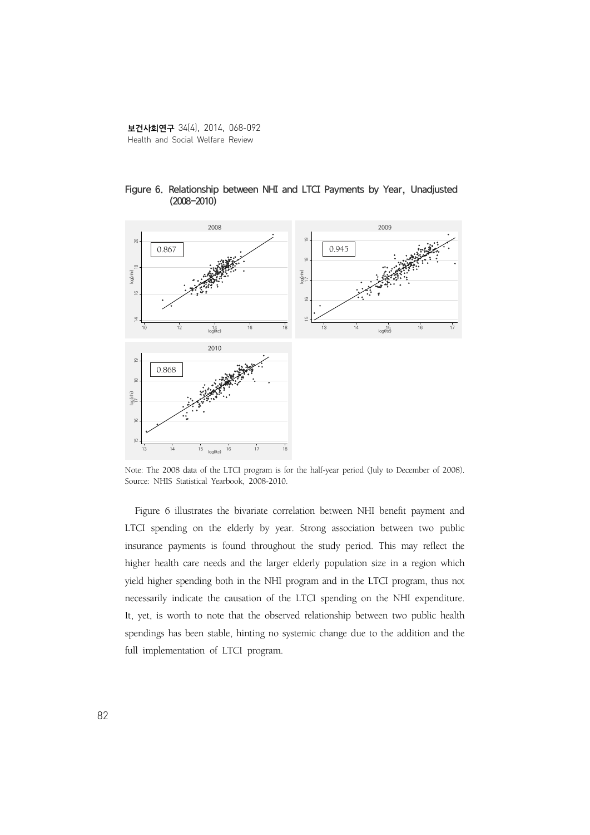

Figure 6. Relationship between NHI and LTCI Payments by Year, Unadjusted (2008-2010)

Note: The 2008 data of the LTCI program is for the half-year period (July to December of 2008). Source: NHIS Statistical Yearbook, 2008-2010.

Figure 6 illustrates the bivariate correlation between NHI benefit payment and LTCI spending on the elderly by year. Strong association between two public insurance payments is found throughout the study period. This may reflect the higher health care needs and the larger elderly population size in a region which yield higher spending both in the NHI program and in the LTCI program, thus not necessarily indicate the causation of the LTCI spending on the NHI expenditure. It, yet, is worth to note that the observed relationship between two public health spendings has been stable, hinting no systemic change due to the addition and the full implementation of LTCI program.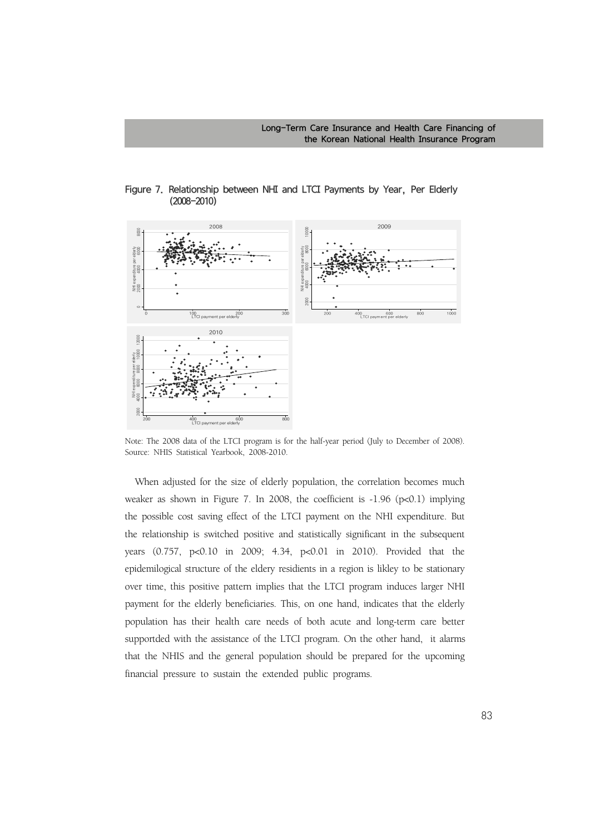

Figure 7. Relationship between NHI and LTCI Payments by Year, Per Elderly (2008-2010)

Note: The 2008 data of the LTCI program is for the half-year period (July to December of 2008). Source: NHIS Statistical Yearbook, 2008-2010.

When adjusted for the size of elderly population, the correlation becomes much weaker as shown in Figure 7. In 2008, the coefficient is -1.96 (p<0.1) implying the possible cost saving effect of the LTCI payment on the NHI expenditure. But the relationship is switched positive and statistically significant in the subsequent years (0.757, p<0.10 in 2009; 4.34, p<0.01 in 2010). Provided that the epidemilogical structure of the eldery residients in a region is likley to be stationary over time, this positive pattern implies that the LTCI program induces larger NHI payment for the elderly beneficiaries. This, on one hand, indicates that the elderly population has their health care needs of both acute and long-term care better supportded with the assistance of the LTCI program. On the other hand, it alarms that the NHIS and the general population should be prepared for the upcoming financial pressure to sustain the extended public programs.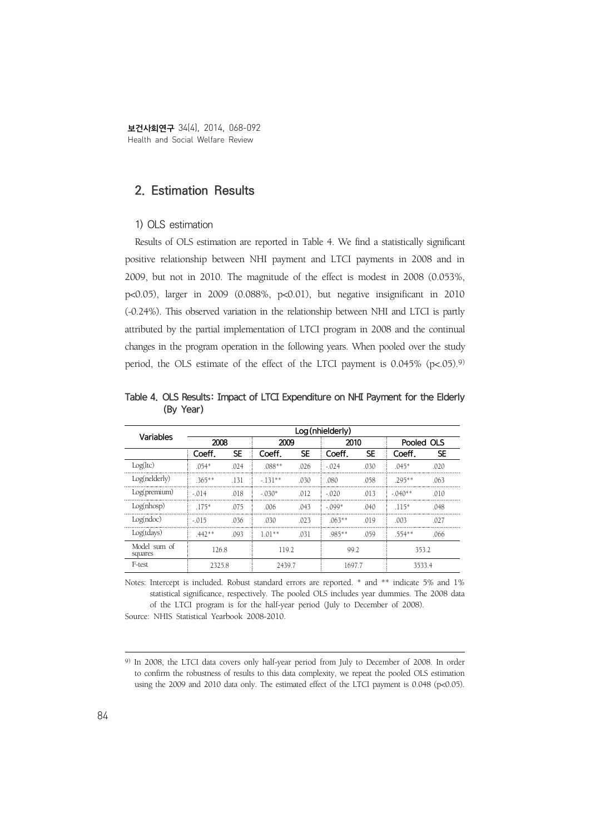보건사회연구 34(4), 2014, 068-092 Health and Social Welfare Review

### **2. Estimation Results**

#### 1) OLS estimation

Results of OLS estimation are reported in Table 4. We find a statistically significant positive relationship between NHI payment and LTCI payments in 2008 and in 2009, but not in 2010. The magnitude of the effect is modest in 2008 (0.053%, p<0.05), larger in 2009 (0.088%, p<0.01), but negative insignificant in 2010 (-0.24%). This observed variation in the relationship between NHI and LTCI is partly attributed by the partial implementation of LTCI program in 2008 and the continual changes in the program operation in the following years. When pooled over the study period, the OLS estimate of the effect of the LTCI payment is  $0.045\%$  (p<.05).<sup>9)</sup>

| Variables               | Log (nhielderly) |           |          |           |           |           |            |           |  |
|-------------------------|------------------|-----------|----------|-----------|-----------|-----------|------------|-----------|--|
|                         | 2008             |           | 2009     |           | 2010      |           | Pooled OLS |           |  |
|                         | Coeff.           | <b>SE</b> | Coeff.   | <b>SE</b> | Coeff.    | <b>SE</b> | Coeff.     | <b>SE</b> |  |
| Log(ltc)                | $054*$           | 024       | $.088**$ | .026      | $-0.074$  | .030      | $045*$     | .020      |  |
| Log(nelderly)           | $365**$          | -131      | $-131**$ | .030      | .080      | .058      | $705***$   | .063      |  |
| Log(premium)            | $-014$           | 018       | $-030*$  | .012      | $-020$    | 013       | $-040**$   | .010      |  |
| Log(nhosp)              | $.175*$          | 075       | .006     | .043      | $-0.099*$ | .040      | $.115*$    | .048      |  |
| Log(ndoc)               | $-015$           | 036       | .030     | .023      | $063**$   | 019       | .003       | .027      |  |
| Log(tdays)              | $.442**$         | .093      | $1.01**$ | .031      | .985**    | .059      | .554**     | .066      |  |
| Model sum of<br>squares | 126.8            |           | 119.2    |           | 99.2      |           | 353.2      |           |  |
| F-test                  | 2325.8           |           | 2439.7   |           |           | 1697.7    |            | 3533.4    |  |

Table 4. OLS Results: Impact of LTCI Expenditure on NHI Payment for the Elderly (By Year)

Notes: Intercept is included. Robust standard errors are reported. \* and \*\* indicate 5% and 1% statistical significance, respectively. The pooled OLS includes year dummies. The 2008 data of the LTCI program is for the half-year period (July to December of 2008). Source: NHIS Statistical Yearbook 2008-2010.

<sup>9)</sup> In 2008, the LTCI data covers only half-year period from July to December of 2008. In order to confirm the robustness of results to this data complexity, we repeat the pooled OLS estimation using the 2009 and 2010 data only. The estimated effect of the LTCI payment is 0.048 (p<0.05).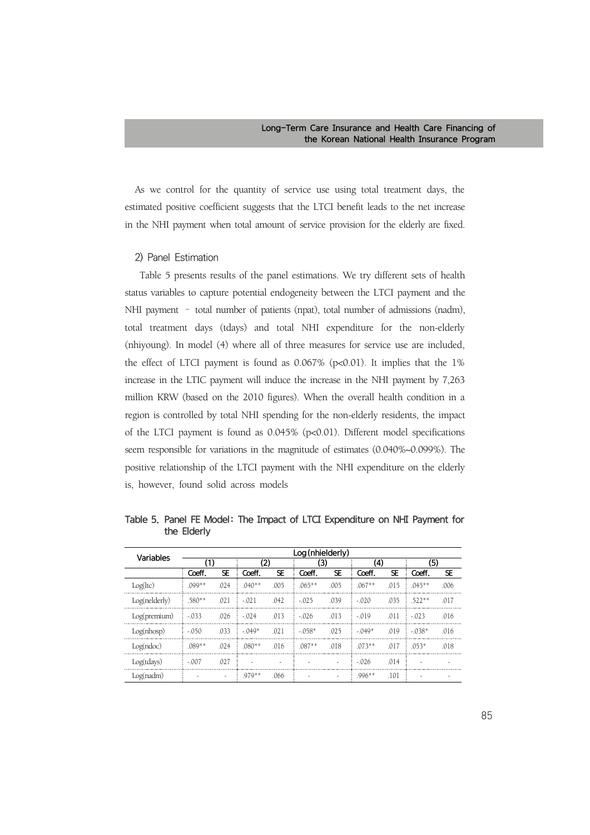As we control for the quantity of service use using total treatment days, the estimated positive coefficient suggests that the LTCI benefit leads to the net increase in the NHI payment when total amount of service provision for the elderly are fixed.

#### 2) Panel Estimation

 Table 5 presents results of the panel estimations. We try different sets of health status variables to capture potential endogeneity between the LTCI payment and the NHI payment – total number of patients (npat), total number of admissions (nadm), total treatment days (tdays) and total NHI expenditure for the non-elderly (nhiyoung). In model (4) where all of three measures for service use are included, the effect of LTCI payment is found as  $0.067\%$  (p<0.01). It implies that the 1% increase in the LTIC payment will induce the increase in the NHI payment by 7,263 million KRW (based on the 2010 figures). When the overall health condition in a region is controlled by total NHI spending for the non-elderly residents, the impact of the LTCI payment is found as 0.045% (p<0.01). Different model specifications seem responsible for variations in the magnitude of estimates (0.040%~0.099%). The positive relationship of the LTCI payment with the NHI expenditure on the elderly is, however, found solid across models

| Variables     | Log (nhielderly) |                          |          |           |          |           |          |           |           |           |
|---------------|------------------|--------------------------|----------|-----------|----------|-----------|----------|-----------|-----------|-----------|
|               | (1)              |                          | (2)      |           | (3)      |           | (4)      |           | (5)       |           |
|               | Coeff.           | SE                       | Coeff.   | <b>SE</b> | Coeff.   | <b>SE</b> | Coeff.   | <b>SE</b> | Coeff.    | <b>SE</b> |
| Log(ltc)      | .099**           | .024                     | $.040**$ | .005      | $.065**$ | .005      | $.067**$ | .015      | $.045***$ | .006      |
| Log(nelderly) | $.580**$         | .021                     | $-.021$  | .042      | $-.025$  | .039      | $-.020$  | .035      | $.522**$  | .017      |
| Log(premium)  | $-.033$          | .026                     | $-0.024$ | .013      | $-0.026$ | .013      | $-019$   | .011      | $-023$    | .016      |
| Log(nhosp)    | $-.050$          | .033                     | $-.049*$ | .021      | $-058*$  | .025      | $-.049*$ | .019      | $-038*$   | .016      |
| Log(ndoc)     | $.089**$         | .024                     | $.080**$ | .016      | $.087**$ | .018      | $073**$  | .017      | $.053*$   | .018      |
| Log(tdays)    | $-.007$          | .027                     |          |           |          |           | $-.026$  | .014      |           |           |
| Log(nadm)     |                  | $\overline{\phantom{a}}$ | .979**   | .066      |          |           | $.996**$ | .101      |           |           |

Table 5. Panel FE Model: The Impact of LTCI Expenditure on NHI Payment for the Elderly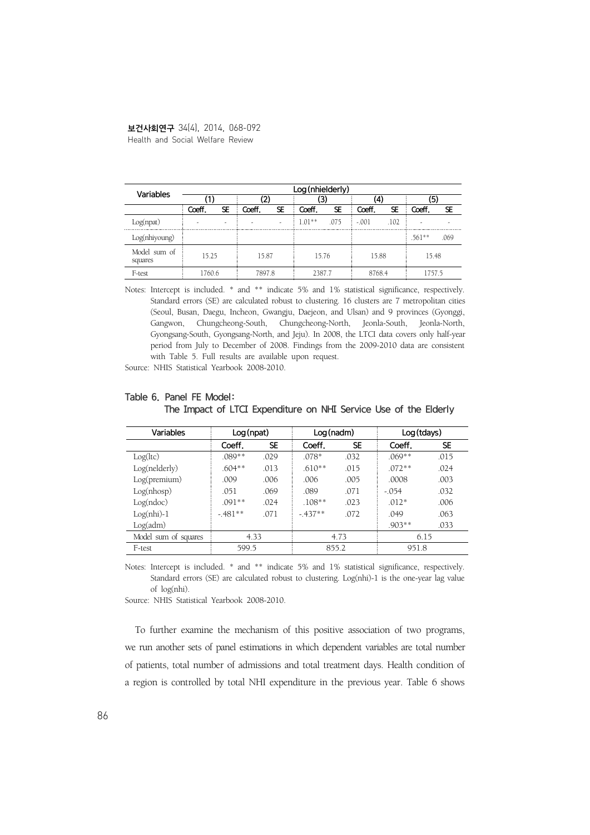## 보건사회연구 34(4), 2014, 068-092

Health and Social Welfare Review

| Variables               | Log (nhielderly) |    |        |    |          |           |         |           |          |           |
|-------------------------|------------------|----|--------|----|----------|-----------|---------|-----------|----------|-----------|
|                         |                  |    | '2.    |    | 3)       |           | (4)     |           | (5)      |           |
|                         | Coeff.           | SE | Coeff. | SE | Coeff.   | <b>SE</b> | Coeff.  | <b>SE</b> | Coeff.   | <b>SE</b> |
| Log(npat)               |                  |    |        |    | $1.01**$ | .075      | $-.001$ | .102      |          |           |
| Log(nhiyoung)           |                  |    |        |    |          |           |         |           | $.561**$ | .069      |
| Model sum of<br>squares | 15.25            |    | 15.87  |    | 15.76    |           | 15.88   |           | 15.48    |           |
| F-test                  | 1760.6           |    | 7897.8 |    | 2387.7   |           | 8768.4  |           | 1757.5   |           |

Notes: Intercept is included. \* and \*\* indicate 5% and 1% statistical significance, respectively. Standard errors (SE) are calculated robust to clustering. 16 clusters are 7 metropolitan cities (Seoul, Busan, Daegu, Incheon, Gwangju, Daejeon, and Ulsan) and 9 provinces (Gyonggi, Gangwon, Chungcheong-South, Chungcheong-North, Jeonla-South, Jeonla-North, Gyongsang-South, Gyongsang-North, and Jeju). In 2008, the LTCI data covers only half-year period from July to December of 2008. Findings from the 2009-2010 data are consistent with Table 5. Full results are available upon request.

Source: NHIS Statistical Yearbook 2008-2010.

| Variables            | Log(npat) |           | Log(nadm) |           | Log (tdays) |           |
|----------------------|-----------|-----------|-----------|-----------|-------------|-----------|
|                      | Coeff.    | <b>SE</b> | Coeff.    | <b>SE</b> | Coeff.      | <b>SE</b> |
| Log(ltc)             | $.089**$  | .029      | $.078*$   | .032      | $.069**$    | .015      |
| Log(nelderly)        | $.604**$  | .013      | $.610**$  | .015      | $.072**$    | .024      |
| Log(premium)         | .009      | .006      | .006      | .005      | .0008       | .003      |
| Log(nhosp)           | .051      | .069      | .089      | .071      | $-.054$     | .032      |
| Log(ndoc)            | $.091**$  | .024      | $.108**$  | .023      | $.012*$     | .006      |
| $Log(nhi)-1$         | $-.481**$ | .071      | $-437**$  | .072      | .049        | .063      |
| Log(adm)             |           |           |           |           | $.903**$    | .033      |
| Model sum of squares | 4.33      |           | 4.73      |           | 6.15        |           |
| F-test               | 599.5     |           | 855.2     |           | 951.8       |           |

#### Table 6. Panel FE Model:

The Impact of LTCI Expenditure on NHI Service Use of the Elderly

Notes: Intercept is included. \* and \*\* indicate 5% and 1% statistical significance, respectively. Standard errors (SE) are calculated robust to clustering. Log(nhi)-1 is the one-year lag value of log(nhi).

Source: NHIS Statistical Yearbook 2008-2010.

To further examine the mechanism of this positive association of two programs, we run another sets of panel estimations in which dependent variables are total number of patients, total number of admissions and total treatment days. Health condition of a region is controlled by total NHI expenditure in the previous year. Table 6 shows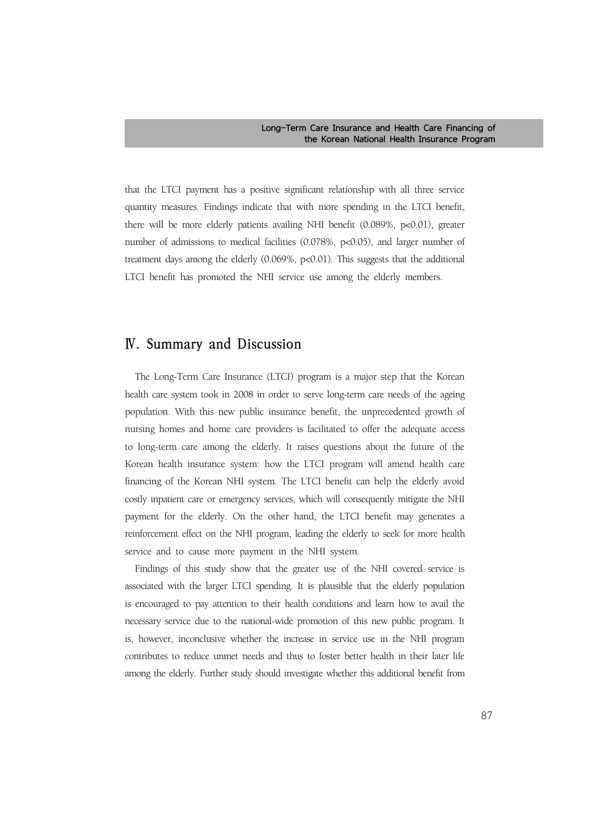that the LTCI payment has a positive significant relationship with all three service quantity measures. Findings indicate that with more spending in the LTCI benefit, there will be more elderly patients availing NHI benefit (0.089%, p<0.01), greater number of admissions to medical facilities (0.078%, p<0.05), and larger number of treatment days among the elderly (0.069%, p<0.01). This suggests that the additional LTCI benefit has promoted the NHI service use among the elderly members.

## **Ⅳ. Summary and Discussion**

The Long-Term Care Insurance (LTCI) program is a major step that the Korean health care system took in 2008 in order to serve long-term care needs of the ageing population. With this new public insurance benefit, the unprecedented growth of nursing homes and home care providers is facilitated to offer the adequate access to long-term care among the elderly. It raises questions about the future of the Korean health insurance system: how the LTCI program will amend health care financing of the Korean NHI system. The LTCI benefit can help the elderly avoid costly inpatient care or emergency services, which will consequently mitigate the NHI payment for the elderly. On the other hand, the LTCI benefit may generates a reinforcement effect on the NHI program, leading the elderly to seek for more health service and to cause more payment in the NHI system.

Findings of this study show that the greater use of the NHI covered service is associated with the larger LTCI spending. It is plausible that the elderly population is encouraged to pay attention to their health conditions and learn how to avail the necessary service due to the national-wide promotion of this new public program. It is, however, inconclusive whether the increase in service use in the NHI program contributes to reduce unmet needs and thus to foster better health in their later life among the elderly. Further study should investigate whether this additional benefit from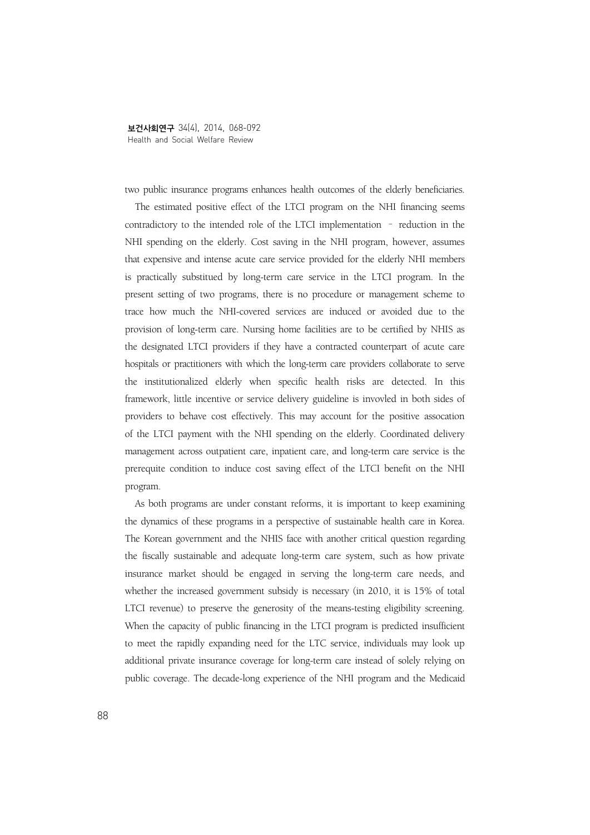two public insurance programs enhances health outcomes of the elderly beneficiaries.

The estimated positive effect of the LTCI program on the NHI financing seems contradictory to the intended role of the LTCI implementation – reduction in the NHI spending on the elderly. Cost saving in the NHI program, however, assumes that expensive and intense acute care service provided for the elderly NHI members is practically substitued by long-term care service in the LTCI program. In the present setting of two programs, there is no procedure or management scheme to trace how much the NHI-covered services are induced or avoided due to the provision of long-term care. Nursing home facilities are to be certified by NHIS as the designated LTCI providers if they have a contracted counterpart of acute care hospitals or practitioners with which the long-term care providers collaborate to serve the institutionalized elderly when specific health risks are detected. In this framework, little incentive or service delivery guideline is invovled in both sides of providers to behave cost effectively. This may account for the positive assocation of the LTCI payment with the NHI spending on the elderly. Coordinated delivery management across outpatient care, inpatient care, and long-term care service is the prerequite condition to induce cost saving effect of the LTCI benefit on the NHI program.

As both programs are under constant reforms, it is important to keep examining the dynamics of these programs in a perspective of sustainable health care in Korea. The Korean government and the NHIS face with another critical question regarding the fiscally sustainable and adequate long-term care system, such as how private insurance market should be engaged in serving the long-term care needs, and whether the increased government subsidy is necessary (in 2010, it is 15% of total LTCI revenue) to preserve the generosity of the means-testing eligibility screening. When the capacity of public financing in the LTCI program is predicted insufficient to meet the rapidly expanding need for the LTC service, individuals may look up additional private insurance coverage for long-term care instead of solely relying on public coverage. The decade-long experience of the NHI program and the Medicaid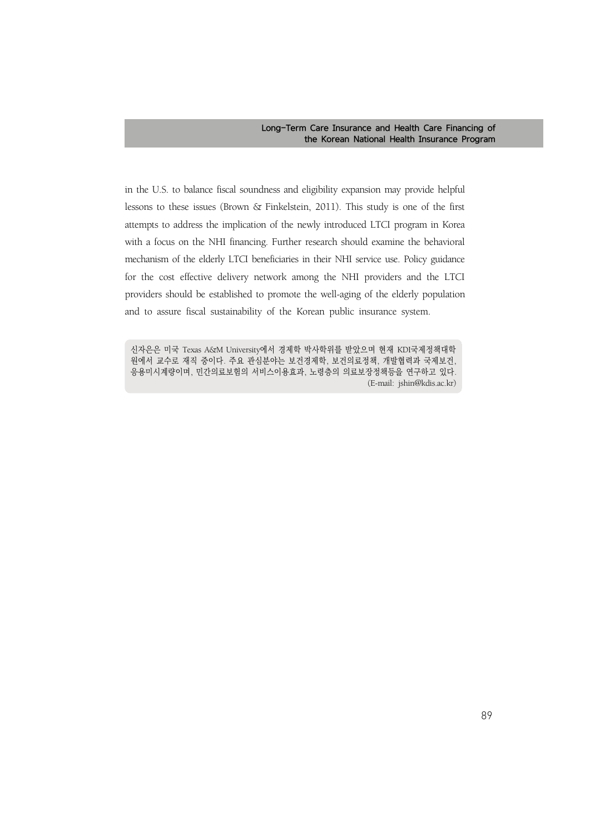in the U.S. to balance fiscal soundness and eligibility expansion may provide helpful lessons to these issues (Brown & Finkelstein, 2011). This study is one of the first attempts to address the implication of the newly introduced LTCI program in Korea with a focus on the NHI financing. Further research should examine the behavioral mechanism of the elderly LTCI beneficiaries in their NHI service use. Policy guidance for the cost effective delivery network among the NHI providers and the LTCI providers should be established to promote the well-aging of the elderly population and to assure fiscal sustainability of the Korean public insurance system.

신자은은 미국 Texas A&M University에서 경제학 박사학위를 받았으며 현재 KDI국제정책대학 원에서 교수로 재직 중이다. 주요 관심분야는 보건경제학, 보건의료정책, 개발협력과 국제보건, 응용미시계량이며, 민간의료보험의 서비스이용효과, 노령층의 의료보장정책등을 연구하고 있다. (E-mail: jshin@kdis.ac.kr)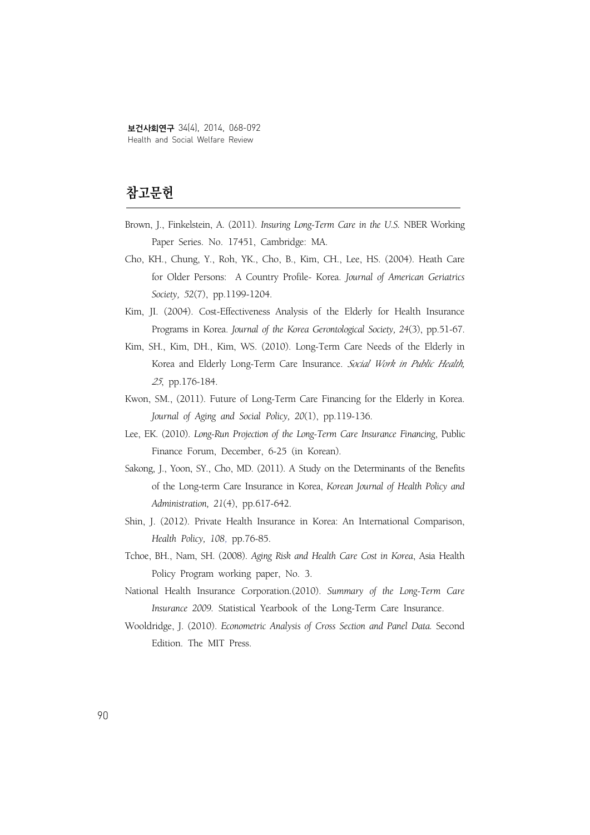# **참고문헌**

- Brown, J., Finkelstein, A. (2011). *Insuring Long-Term Care in the U.S.* NBER Working Paper Series. No. 17451, Cambridge: MA.
- Cho, KH., Chung, Y., Roh, YK., Cho, B., Kim, CH., Lee, HS. (2004). Heath Care for Older Persons: A Country Profile- Korea. *Journal of American Geriatrics Society, 52*(7), pp.1199-1204.
- Kim, JI. (2004). Cost-Effectiveness Analysis of the Elderly for Health Insurance Programs in Korea. *Journal of the Korea Gerontological Society, 24*(3), pp.51-67.
- Kim, SH., Kim, DH., Kim, WS. (2010). Long-Term Care Needs of the Elderly in Korea and Elderly Long-Term Care Insurance. *Social Work in Public Health, <sup>25</sup>*, pp.176-184.
- Kwon, SM., (2011). Future of Long-Term Care Financing for the Elderly in Korea. *Journal of Aging and Social Policy, 20*(1), pp.119-136.
- Lee, EK. (2010). *Long-Run Projection of the Long-Term Care Insurance Financing*, Public Finance Forum, December, 6-25 (in Korean).
- Sakong, J., Yoon, SY., Cho, MD. (2011). A Study on the Determinants of the Benefits of the Long-term Care Insurance in Korea, *Korean Journal of Health Policy and Administration, 21*(4), pp.617-642.
- Shin, J. (2012). Private Health Insurance in Korea: An International Comparison, *Health Policy, 108*, pp.76-85.
- Tchoe, BH., Nam, SH. (2008). *Aging Risk and Health Care Cost in Korea*, Asia Health Policy Program working paper, No. 3.
- National Health Insurance Corporation.(2010). *Summary of the Long-Term Care Insurance 2009.* Statistical Yearbook of the Long-Term Care Insurance.
- Wooldridge, J. (2010). *Econometric Analysis of Cross Section and Panel Data.* Second Edition. The MIT Press.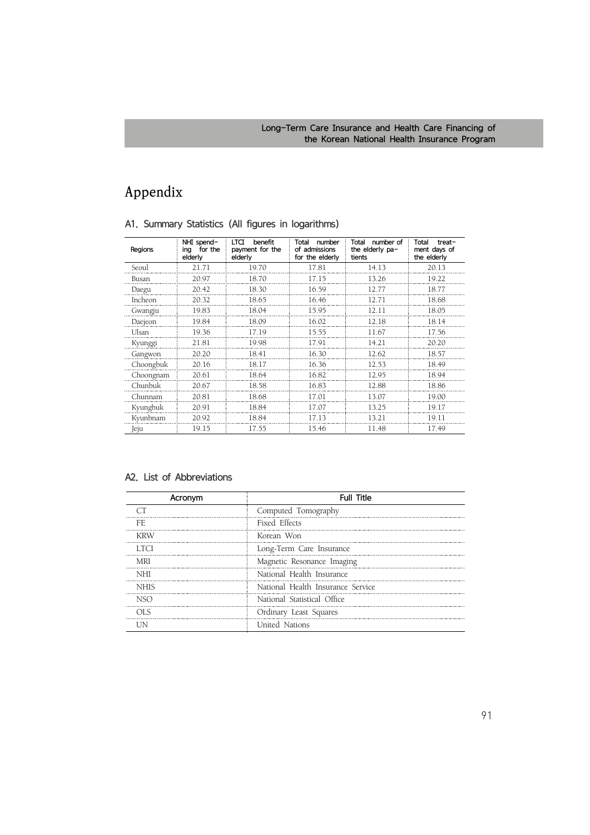# **Appendix**

| Regions   | NHI spend-<br>for the<br>ina<br>elderly | benefit<br>LTCI<br>payment for the<br>elderly | Total<br>number<br>of admissions<br>for the elderly | number of<br>Total<br>the elderly pa-<br>tients | Total<br>treat-<br>ment days of<br>the elderly |
|-----------|-----------------------------------------|-----------------------------------------------|-----------------------------------------------------|-------------------------------------------------|------------------------------------------------|
| Seoul     | 21.71                                   | 19.70                                         | 17.81                                               | 14.13                                           | 20.13                                          |
| Busan     | 20.97                                   | 18.70                                         | 17.15                                               | 13.26                                           | 19.22                                          |
| Daegu     | 20.42                                   | 18.30                                         | 16.59                                               | 12.77                                           | 18.77                                          |
| Incheon   | 20.32                                   | 18.65                                         | 16.46                                               | 12.71                                           | 18.68                                          |
| Gwangju   | 19.83                                   | 18.04                                         | 15.95                                               | 12.11                                           | 18.05                                          |
| Daejeon   | 19.84                                   | 18.09                                         | 16.02                                               | 12.18                                           | 18.14                                          |
| Ulsan     | 19.36                                   | 17.19                                         | 15.55                                               | 11.67                                           | 17.56                                          |
| Kyunggi   | 21.81                                   | 19.98                                         | 17.91                                               | 14.21                                           | 20.20                                          |
| Gangwon   | 20.20                                   | 18.41                                         | 16.30                                               | 12.62                                           | 18.57                                          |
| Choongbuk | 20.16                                   | 18.17                                         | 16.36                                               | 12.53                                           | 18.49                                          |
| Choongnam | 20.61                                   | 18.64                                         | 16.82                                               | 12.95                                           | 18.94                                          |
| Chunbuk   | 20.67                                   | 18.58                                         | 16.83                                               | 12.88                                           | 18.86                                          |
| Chunnam   | 20.81                                   | 18.68                                         | 17.01                                               | 13.07                                           | 19.00                                          |
| Kyungbuk  | 20.91                                   | 18.84                                         | 17.07                                               | 13.25                                           | 19.17                                          |
| Kyunbnam  | 20.92                                   | 18.84                                         | 17.13                                               | 13.21                                           | 19.11                                          |
| Jeju      | 19.15                                   | 17.55                                         | 15.46                                               | 11.48                                           | 17.49                                          |

### A1. Summary Statistics (All figures in logarithms)

### A2. List of Abbreviations

| Acronym | <b>Full Title</b>                 |
|---------|-----------------------------------|
|         | Computed Tomography               |
| ۲E.     | Fixed Effects                     |
| KRW     | Korean Won                        |
| -1701   | Long-Term Care Insurance          |
| MRI     | Magnetic Resonance Imaging        |
| NHI     | National Health Insurance         |
| NHIS    | National Health Insurance Service |
|         | National Statistical Office       |
| OLS     | Ordinary Least Squares            |
|         | United Nations                    |